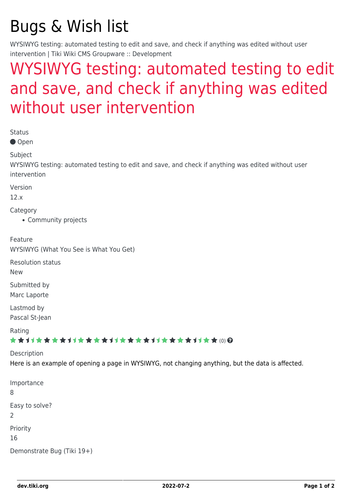## Bugs & Wish list

WYSIWYG testing: automated testing to edit and save, and check if anything was edited without user intervention | Tiki Wiki CMS Groupware :: Development

## [WYSIWYG testing: automated testing to edit](https://dev.tiki.org/item4661-WYSIWYG-testing-automated-testing-to-edit-and-save-and-check-if-anything-was-edited-without-user-intervention) [and save, and check if anything was edited](https://dev.tiki.org/item4661-WYSIWYG-testing-automated-testing-to-edit-and-save-and-check-if-anything-was-edited-without-user-intervention) [without user intervention](https://dev.tiki.org/item4661-WYSIWYG-testing-automated-testing-to-edit-and-save-and-check-if-anything-was-edited-without-user-intervention)

| <b>Status</b><br>● Open                                                                                                       |  |
|-------------------------------------------------------------------------------------------------------------------------------|--|
| Subject<br>WYSIWYG testing: automated testing to edit and save, and check if anything was edited without user<br>intervention |  |
| Version<br>12.x                                                                                                               |  |
| Category<br>• Community projects                                                                                              |  |
| Feature<br>WYSIWYG (What You See is What You Get)                                                                             |  |
| <b>Resolution status</b><br><b>New</b>                                                                                        |  |
| Submitted by<br>Marc Laporte                                                                                                  |  |
| Lastmod by<br>Pascal St-Jean                                                                                                  |  |
| Rating<br>★★オオ★★★★オオ★★★★オオ★★★★オオ★★★★オオ★★@@                                                                                    |  |
| Description<br>Here is an example of opening a page in WYSIWYG, not changing anything, but the data is affected.              |  |
| Importance<br>8                                                                                                               |  |
| Easy to solve?<br>$\overline{2}$                                                                                              |  |
| Priority<br>16                                                                                                                |  |
| Demonstrate Bug (Tiki 19+)                                                                                                    |  |